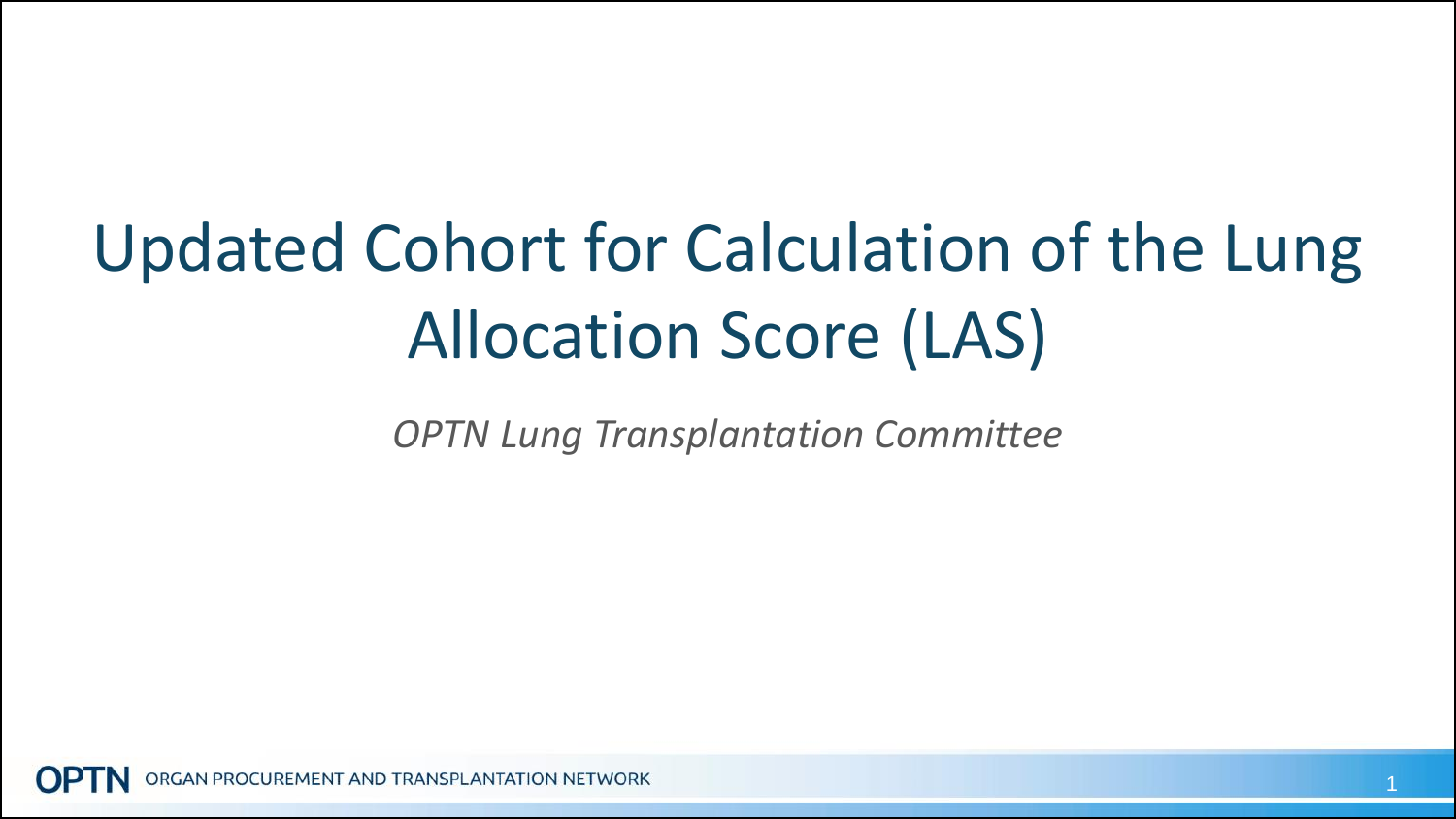# Updated Cohort for Calculation of the Lung Allocation Score (LAS)

*OPTN Lung Transplantation Committee*

GAN PROCUREMENT AND TRANSPLANTATION NETWORK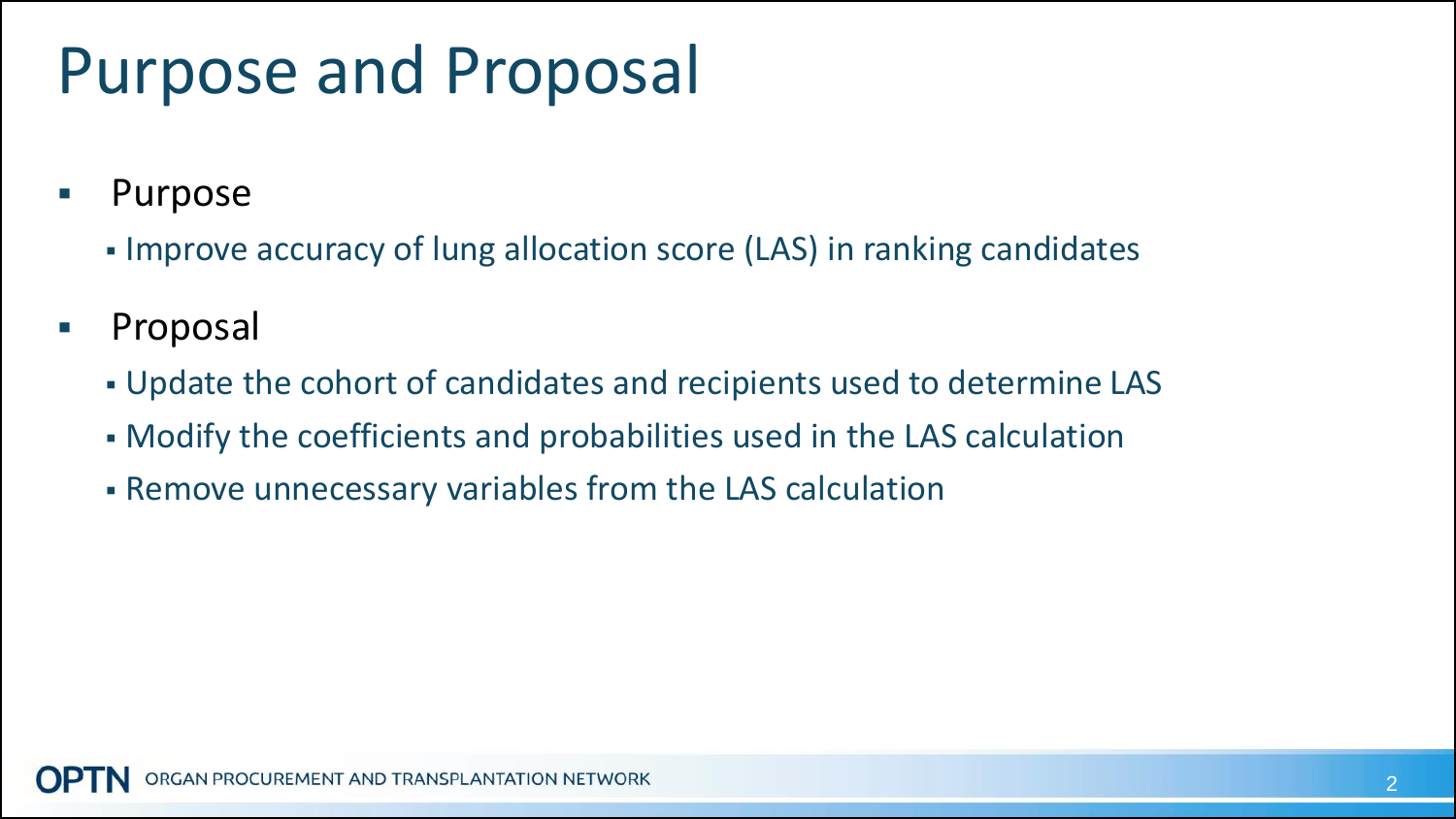# Purpose and Proposal

- **Purpose** 
	- Improve accuracy of lung allocation score (LAS) in ranking candidates
- **Proposal** 
	- Update the cohort of candidates and recipients used to determine LAS
	- Modify the coefficients and probabilities used in the LAS calculation
	- Remove unnecessary variables from the LAS calculation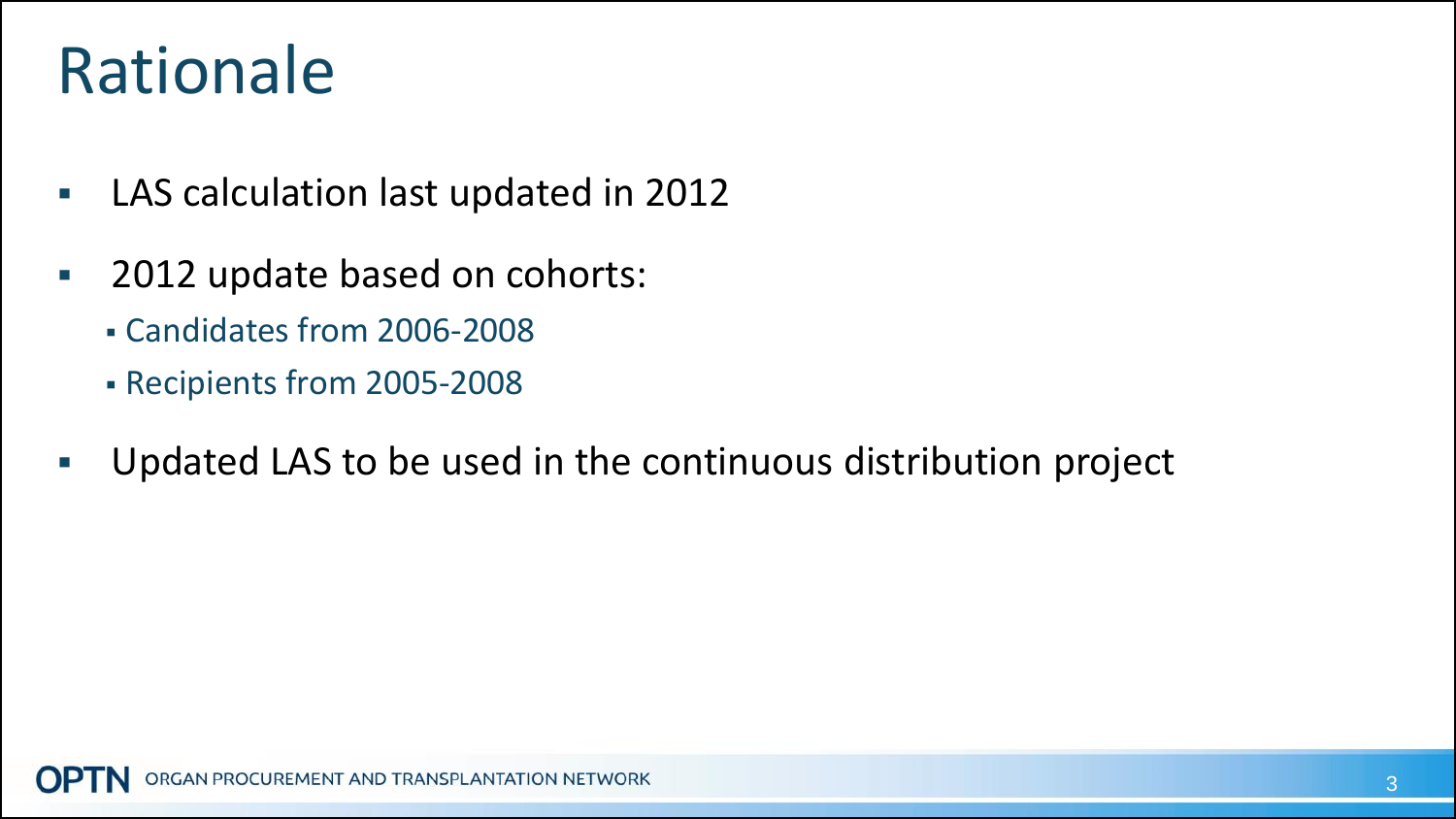# Rationale

- **LAS calculation last updated in 2012**
- **2012 update based on cohorts:** 
	- Candidates from 2006-2008
	- Recipients from 2005-2008
- Updated LAS to be used in the continuous distribution project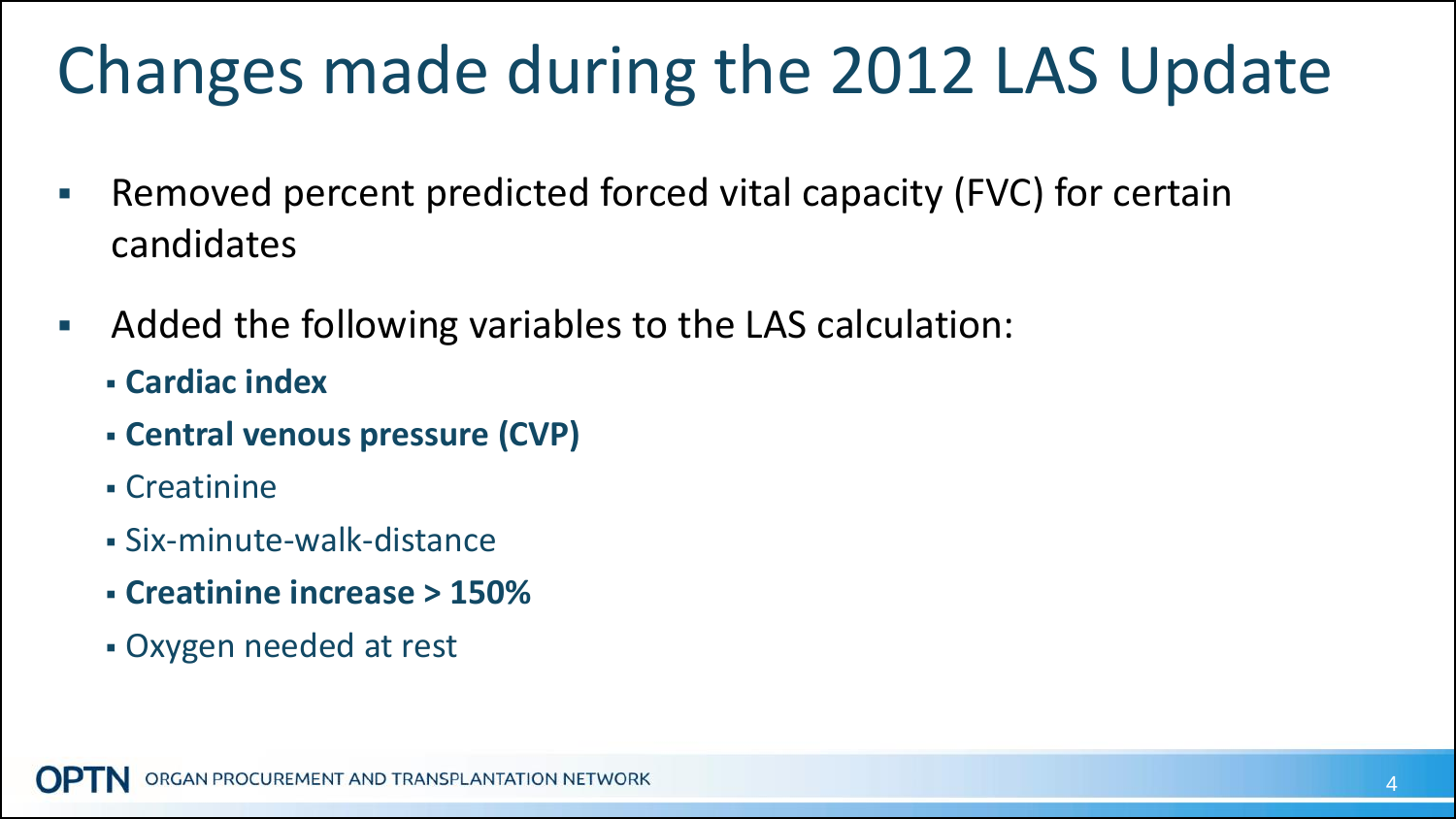# Changes made during the 2012 LAS Update

- **-** Removed percent predicted forced vital capacity (FVC) for certain candidates
- Added the following variables to the LAS calculation:
	- **Cardiac index**
	- **Central venous pressure (CVP)**
	- Creatinine
	- Six-minute-walk-distance
	- **Creatinine increase > 150%**
	- Oxygen needed at rest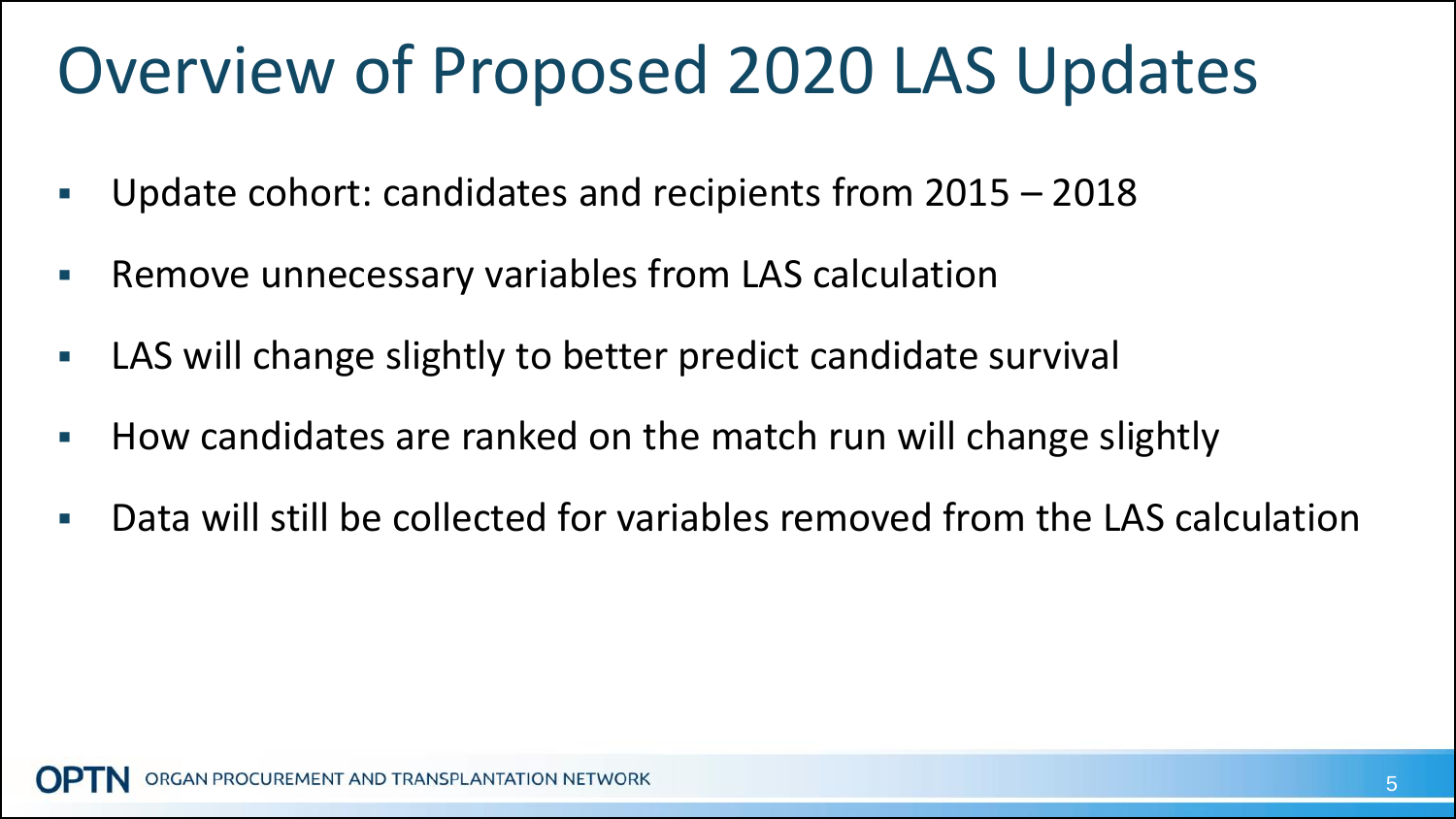### Overview of Proposed 2020 LAS Updates

- Update cohort: candidates and recipients from 2015 2018
- Remove unnecessary variables from LAS calculation
- LAS will change slightly to better predict candidate survival
- How candidates are ranked on the match run will change slightly
- Data will still be collected for variables removed from the LAS calculation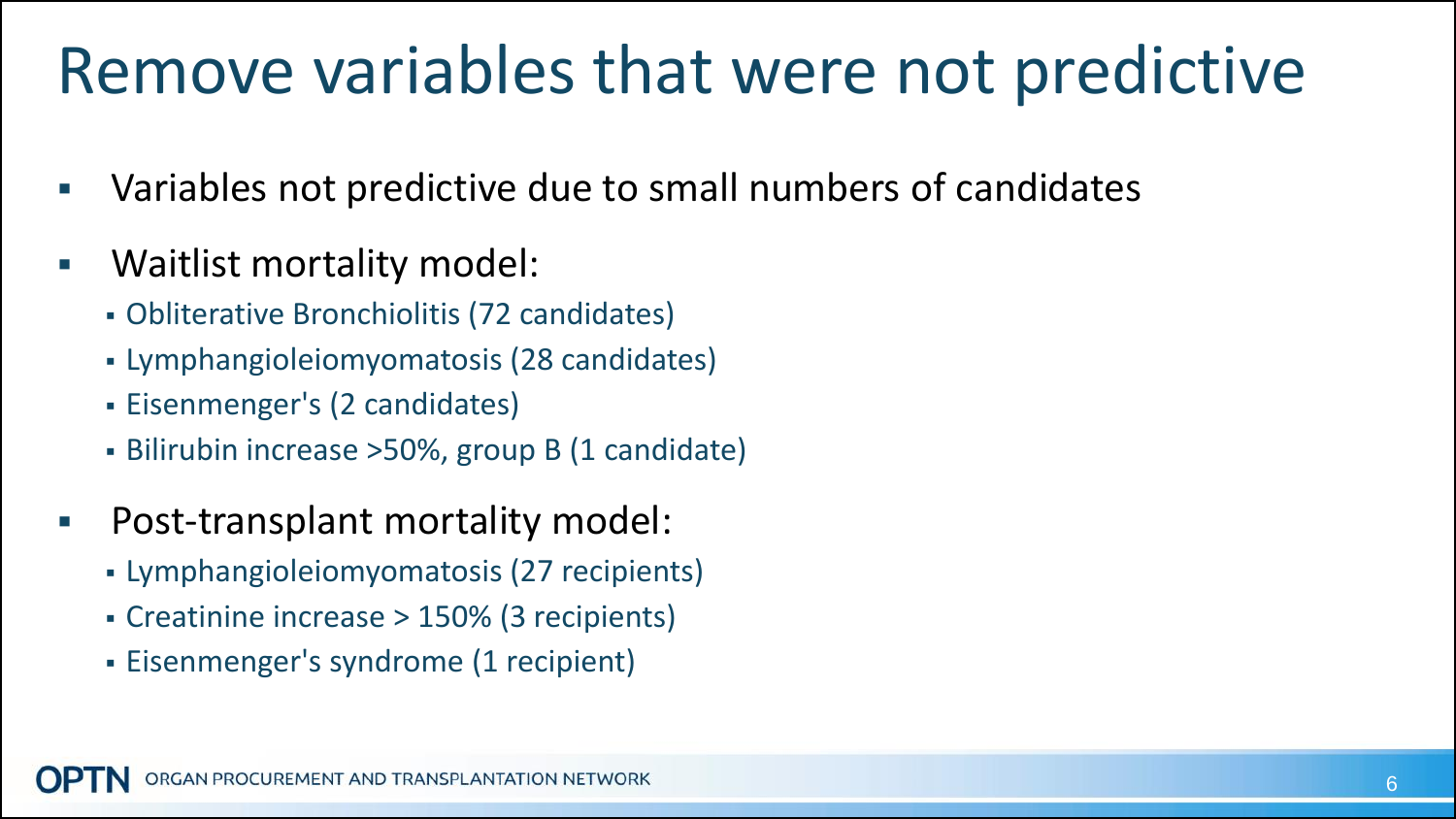#### Remove variables that were not predictive

- Variables not predictive due to small numbers of candidates
- Waitlist mortality model:
	- Obliterative Bronchiolitis (72 candidates)
	- Lymphangioleiomyomatosis (28 candidates)
	- Eisenmenger's (2 candidates)
	- Bilirubin increase >50%, group B (1 candidate)
- Post-transplant mortality model:
	- Lymphangioleiomyomatosis (27 recipients)
	- Creatinine increase > 150% (3 recipients)
	- Eisenmenger's syndrome (1 recipient)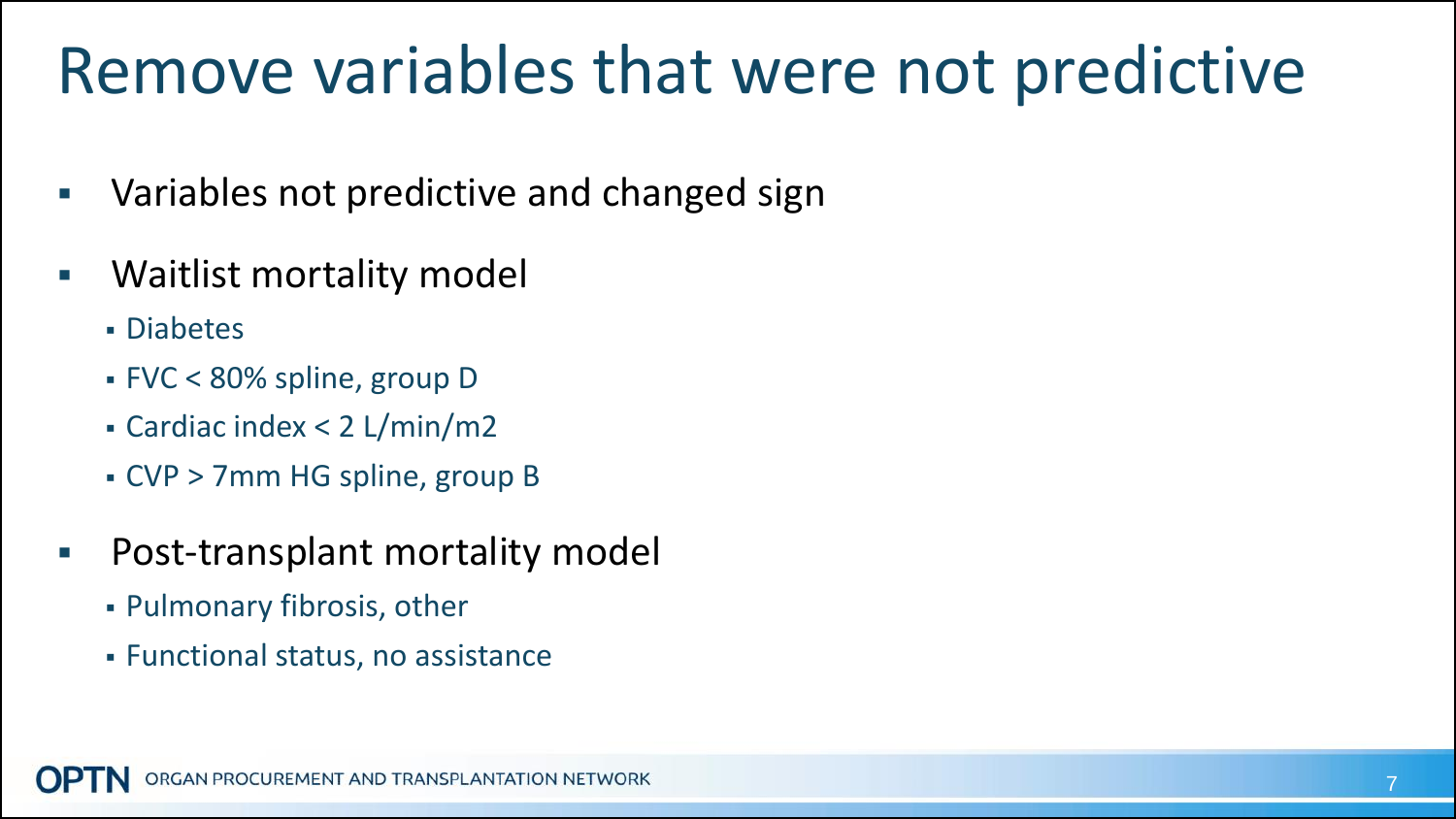#### Remove variables that were not predictive

- Variables not predictive and changed sign
- Waitlist mortality model
	- Diabetes
	- FVC < 80% spline, group D
	- Cardiac index < 2 L/min/m2
	- CVP > 7mm HG spline, group B
- **Post-transplant mortality model** 
	- Pulmonary fibrosis, other
	- Functional status, no assistance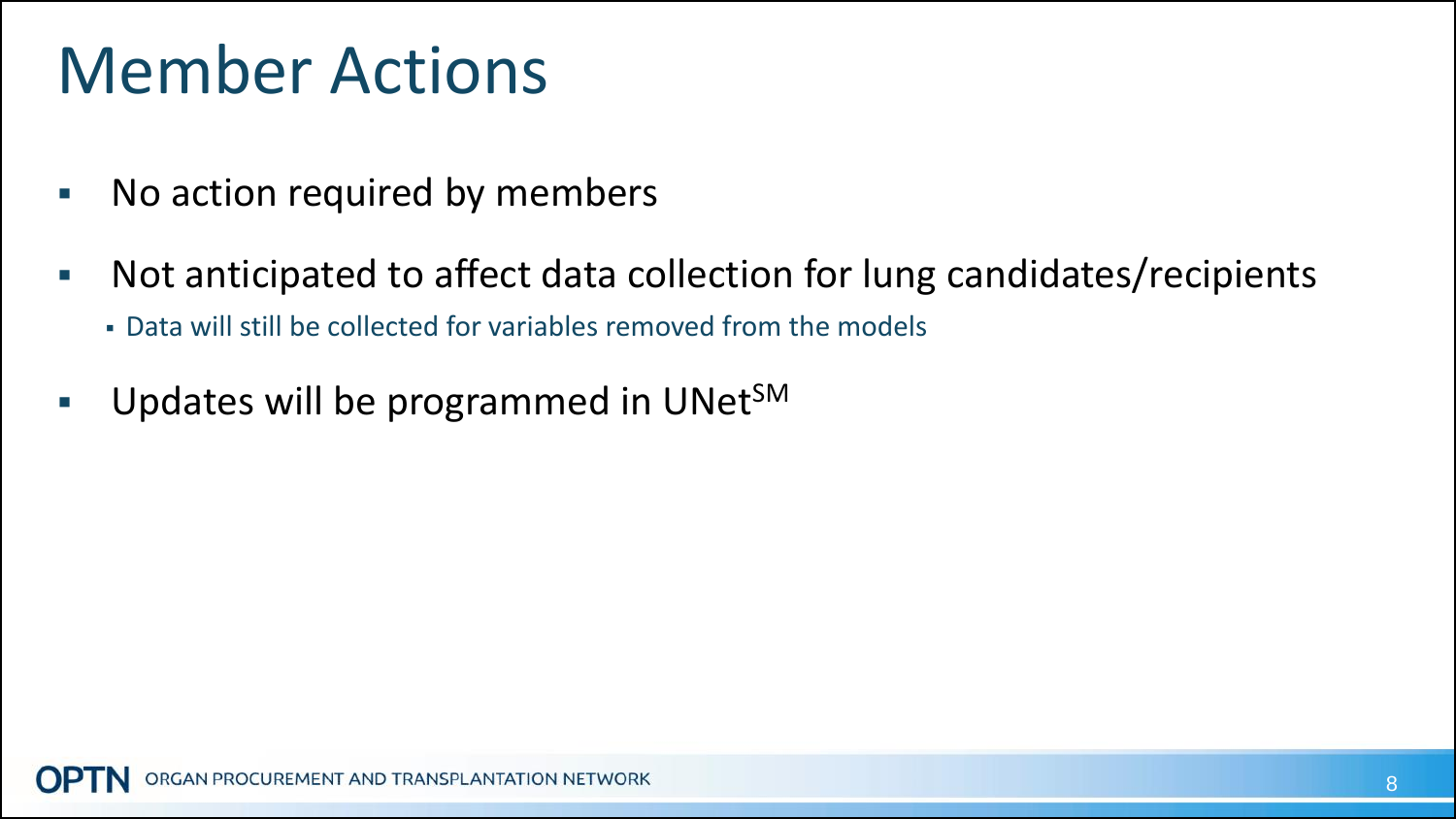# Member Actions

- **No action required by members**
- Not anticipated to affect data collection for lung candidates/recipients
	- Data will still be collected for variables removed from the models
- Updates will be programmed in UNet<sup>SM</sup>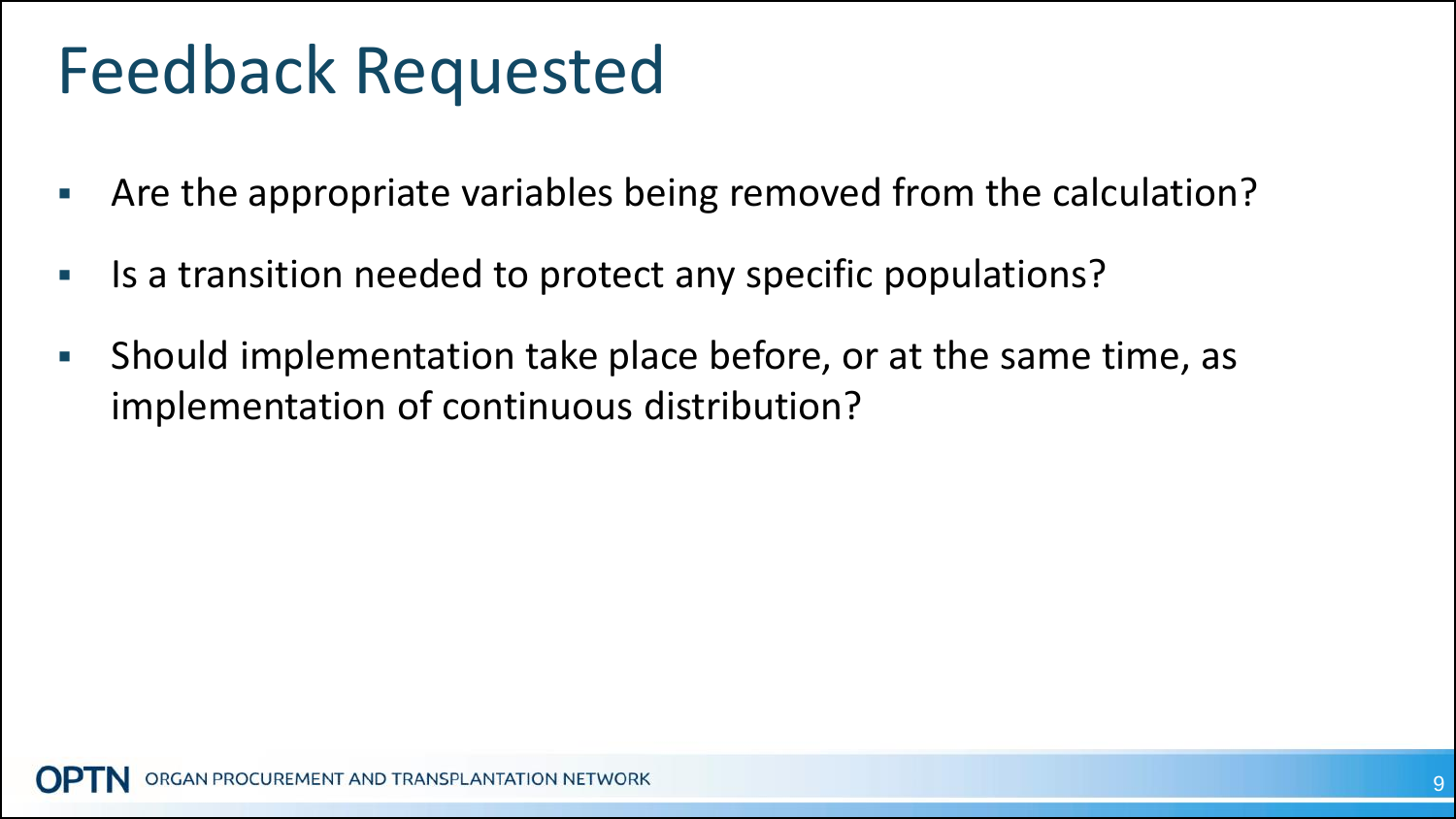### Feedback Requested

- Are the appropriate variables being removed from the calculation?
- Is a transition needed to protect any specific populations?
- **Should implementation take place before, or at the same time, as** implementation of continuous distribution?